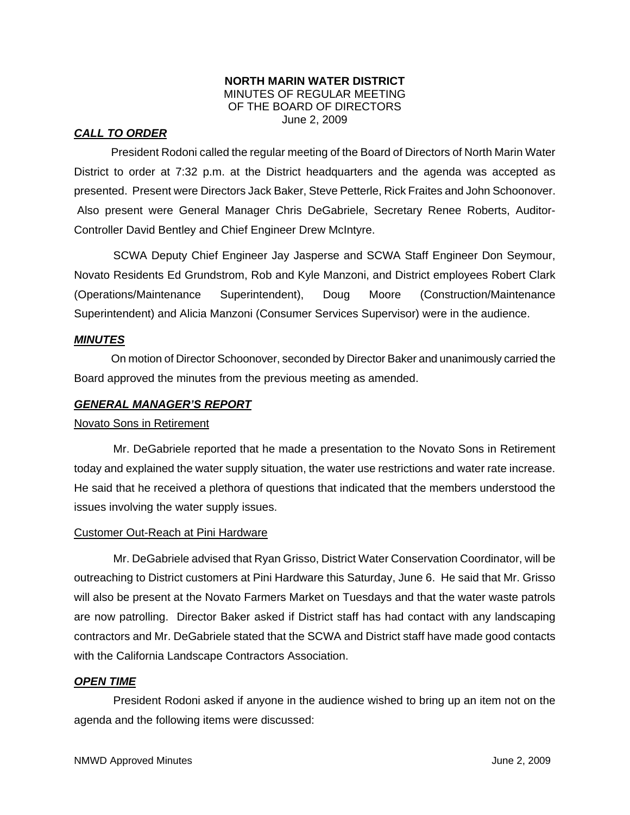### **NORTH MARIN WATER DISTRICT**  MINUTES OF REGULAR MEETING OF THE BOARD OF DIRECTORS June 2, 2009

## *CALL TO ORDER*

President Rodoni called the regular meeting of the Board of Directors of North Marin Water District to order at 7:32 p.m. at the District headquarters and the agenda was accepted as presented. Present were Directors Jack Baker, Steve Petterle, Rick Fraites and John Schoonover. Also present were General Manager Chris DeGabriele, Secretary Renee Roberts, Auditor-Controller David Bentley and Chief Engineer Drew McIntyre.

SCWA Deputy Chief Engineer Jay Jasperse and SCWA Staff Engineer Don Seymour, Novato Residents Ed Grundstrom, Rob and Kyle Manzoni, and District employees Robert Clark (Operations/Maintenance Superintendent), Doug Moore (Construction/Maintenance Superintendent) and Alicia Manzoni (Consumer Services Supervisor) were in the audience.

#### *MINUTES*

 On motion of Director Schoonover, seconded by Director Baker and unanimously carried the Board approved the minutes from the previous meeting as amended.

#### *GENERAL MANAGER'S REPORT*

#### Novato Sons in Retirement

Mr. DeGabriele reported that he made a presentation to the Novato Sons in Retirement today and explained the water supply situation, the water use restrictions and water rate increase. He said that he received a plethora of questions that indicated that the members understood the issues involving the water supply issues.

#### Customer Out-Reach at Pini Hardware

Mr. DeGabriele advised that Ryan Grisso, District Water Conservation Coordinator, will be outreaching to District customers at Pini Hardware this Saturday, June 6. He said that Mr. Grisso will also be present at the Novato Farmers Market on Tuesdays and that the water waste patrols are now patrolling. Director Baker asked if District staff has had contact with any landscaping contractors and Mr. DeGabriele stated that the SCWA and District staff have made good contacts with the California Landscape Contractors Association.

#### *OPEN TIME*

President Rodoni asked if anyone in the audience wished to bring up an item not on the agenda and the following items were discussed: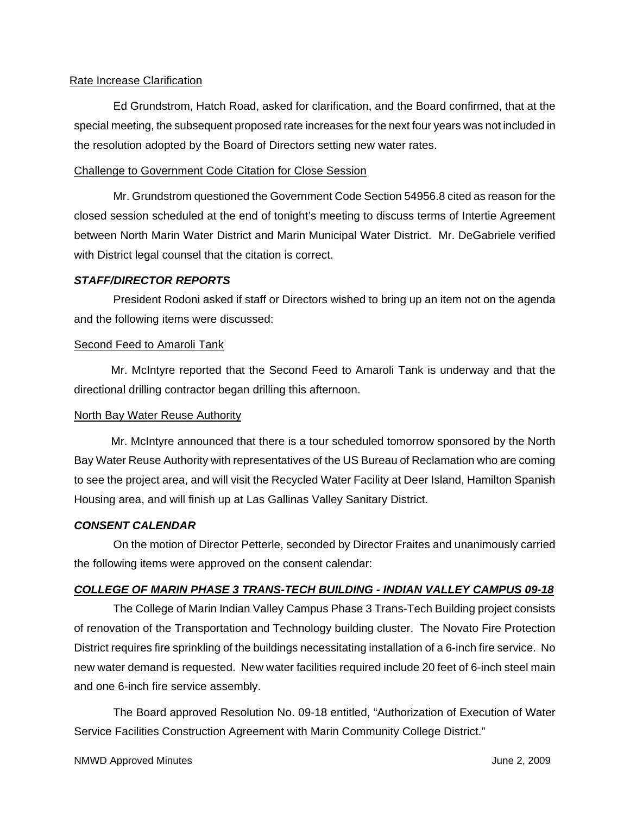## Rate Increase Clarification

Ed Grundstrom, Hatch Road, asked for clarification, and the Board confirmed, that at the special meeting, the subsequent proposed rate increases for the next four years was not included in the resolution adopted by the Board of Directors setting new water rates.

### Challenge to Government Code Citation for Close Session

Mr. Grundstrom questioned the Government Code Section 54956.8 cited as reason for the closed session scheduled at the end of tonight's meeting to discuss terms of Intertie Agreement between North Marin Water District and Marin Municipal Water District. Mr. DeGabriele verified with District legal counsel that the citation is correct.

### *STAFF/DIRECTOR REPORTS*

President Rodoni asked if staff or Directors wished to bring up an item not on the agenda and the following items were discussed:

### Second Feed to Amaroli Tank

 Mr. McIntyre reported that the Second Feed to Amaroli Tank is underway and that the directional drilling contractor began drilling this afternoon.

# North Bay Water Reuse Authority

 Mr. McIntyre announced that there is a tour scheduled tomorrow sponsored by the North Bay Water Reuse Authority with representatives of the US Bureau of Reclamation who are coming to see the project area, and will visit the Recycled Water Facility at Deer Island, Hamilton Spanish Housing area, and will finish up at Las Gallinas Valley Sanitary District.

# *CONSENT CALENDAR*

On the motion of Director Petterle, seconded by Director Fraites and unanimously carried the following items were approved on the consent calendar:

# *COLLEGE OF MARIN PHASE 3 TRANS-TECH BUILDING - INDIAN VALLEY CAMPUS 09-18*

The College of Marin Indian Valley Campus Phase 3 Trans-Tech Building project consists of renovation of the Transportation and Technology building cluster. The Novato Fire Protection District requires fire sprinkling of the buildings necessitating installation of a 6-inch fire service. No new water demand is requested. New water facilities required include 20 feet of 6-inch steel main and one 6-inch fire service assembly.

The Board approved Resolution No. 09-18 entitled, "Authorization of Execution of Water Service Facilities Construction Agreement with Marin Community College District."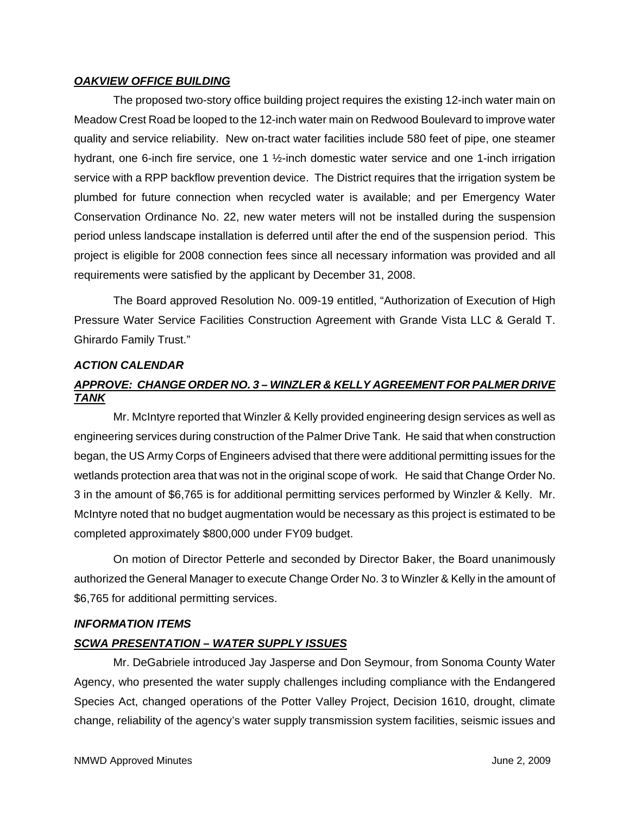#### *OAKVIEW OFFICE BUILDING*

The proposed two-story office building project requires the existing 12-inch water main on Meadow Crest Road be looped to the 12-inch water main on Redwood Boulevard to improve water quality and service reliability. New on-tract water facilities include 580 feet of pipe, one steamer hydrant, one 6-inch fire service, one 1 1/2-inch domestic water service and one 1-inch irrigation service with a RPP backflow prevention device. The District requires that the irrigation system be plumbed for future connection when recycled water is available; and per Emergency Water Conservation Ordinance No. 22, new water meters will not be installed during the suspension period unless landscape installation is deferred until after the end of the suspension period. This project is eligible for 2008 connection fees since all necessary information was provided and all requirements were satisfied by the applicant by December 31, 2008.

The Board approved Resolution No. 009-19 entitled, "Authorization of Execution of High Pressure Water Service Facilities Construction Agreement with Grande Vista LLC & Gerald T. Ghirardo Family Trust."

### *ACTION CALENDAR*

# *APPROVE: CHANGE ORDER NO. 3 – WINZLER & KELLY AGREEMENT FOR PALMER DRIVE TANK*

Mr. McIntyre reported that Winzler & Kelly provided engineering design services as well as engineering services during construction of the Palmer Drive Tank. He said that when construction began, the US Army Corps of Engineers advised that there were additional permitting issues for the wetlands protection area that was not in the original scope of work. He said that Change Order No. 3 in the amount of \$6,765 is for additional permitting services performed by Winzler & Kelly. Mr. McIntyre noted that no budget augmentation would be necessary as this project is estimated to be completed approximately \$800,000 under FY09 budget.

On motion of Director Petterle and seconded by Director Baker, the Board unanimously authorized the General Manager to execute Change Order No. 3 to Winzler & Kelly in the amount of \$6,765 for additional permitting services.

# *INFORMATION ITEMS*

# *SCWA PRESENTATION – WATER SUPPLY ISSUES*

Mr. DeGabriele introduced Jay Jasperse and Don Seymour, from Sonoma County Water Agency, who presented the water supply challenges including compliance with the Endangered Species Act, changed operations of the Potter Valley Project, Decision 1610, drought, climate change, reliability of the agency's water supply transmission system facilities, seismic issues and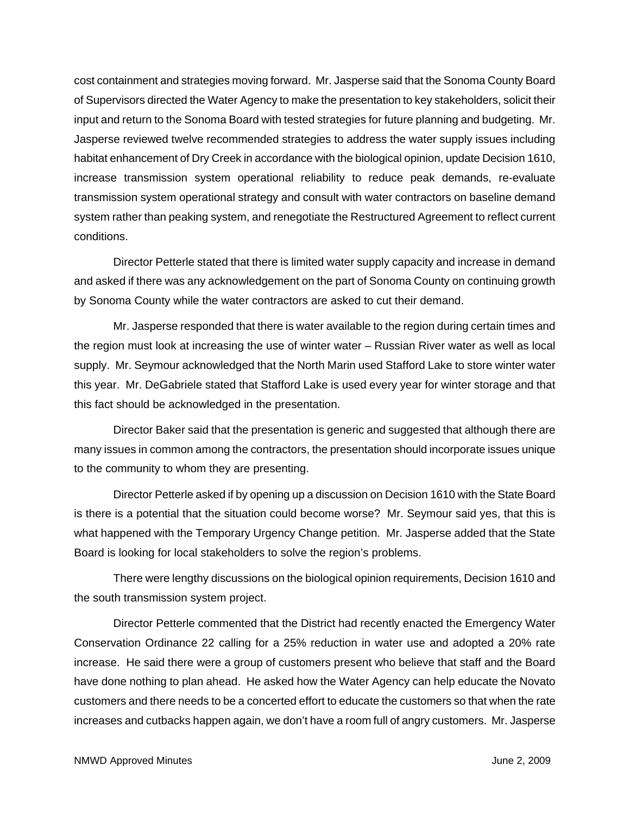cost containment and strategies moving forward. Mr. Jasperse said that the Sonoma County Board of Supervisors directed the Water Agency to make the presentation to key stakeholders, solicit their input and return to the Sonoma Board with tested strategies for future planning and budgeting. Mr. Jasperse reviewed twelve recommended strategies to address the water supply issues including habitat enhancement of Dry Creek in accordance with the biological opinion, update Decision 1610, increase transmission system operational reliability to reduce peak demands, re-evaluate transmission system operational strategy and consult with water contractors on baseline demand system rather than peaking system, and renegotiate the Restructured Agreement to reflect current conditions.

Director Petterle stated that there is limited water supply capacity and increase in demand and asked if there was any acknowledgement on the part of Sonoma County on continuing growth by Sonoma County while the water contractors are asked to cut their demand.

Mr. Jasperse responded that there is water available to the region during certain times and the region must look at increasing the use of winter water – Russian River water as well as local supply. Mr. Seymour acknowledged that the North Marin used Stafford Lake to store winter water this year. Mr. DeGabriele stated that Stafford Lake is used every year for winter storage and that this fact should be acknowledged in the presentation.

Director Baker said that the presentation is generic and suggested that although there are many issues in common among the contractors, the presentation should incorporate issues unique to the community to whom they are presenting.

Director Petterle asked if by opening up a discussion on Decision 1610 with the State Board is there is a potential that the situation could become worse? Mr. Seymour said yes, that this is what happened with the Temporary Urgency Change petition. Mr. Jasperse added that the State Board is looking for local stakeholders to solve the region's problems.

There were lengthy discussions on the biological opinion requirements, Decision 1610 and the south transmission system project.

Director Petterle commented that the District had recently enacted the Emergency Water Conservation Ordinance 22 calling for a 25% reduction in water use and adopted a 20% rate increase. He said there were a group of customers present who believe that staff and the Board have done nothing to plan ahead. He asked how the Water Agency can help educate the Novato customers and there needs to be a concerted effort to educate the customers so that when the rate increases and cutbacks happen again, we don't have a room full of angry customers. Mr. Jasperse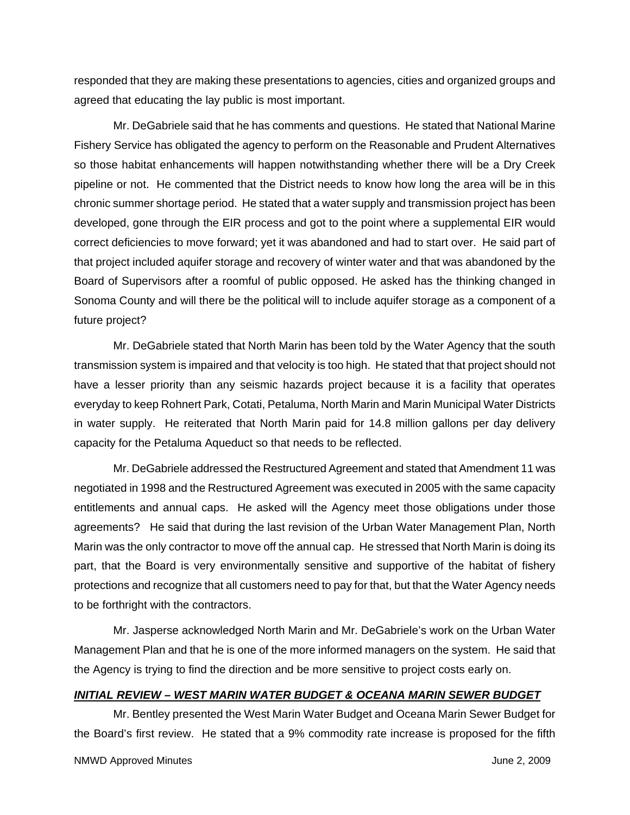responded that they are making these presentations to agencies, cities and organized groups and agreed that educating the lay public is most important.

Mr. DeGabriele said that he has comments and questions. He stated that National Marine Fishery Service has obligated the agency to perform on the Reasonable and Prudent Alternatives so those habitat enhancements will happen notwithstanding whether there will be a Dry Creek pipeline or not. He commented that the District needs to know how long the area will be in this chronic summer shortage period. He stated that a water supply and transmission project has been developed, gone through the EIR process and got to the point where a supplemental EIR would correct deficiencies to move forward; yet it was abandoned and had to start over. He said part of that project included aquifer storage and recovery of winter water and that was abandoned by the Board of Supervisors after a roomful of public opposed. He asked has the thinking changed in Sonoma County and will there be the political will to include aquifer storage as a component of a future project?

Mr. DeGabriele stated that North Marin has been told by the Water Agency that the south transmission system is impaired and that velocity is too high. He stated that that project should not have a lesser priority than any seismic hazards project because it is a facility that operates everyday to keep Rohnert Park, Cotati, Petaluma, North Marin and Marin Municipal Water Districts in water supply. He reiterated that North Marin paid for 14.8 million gallons per day delivery capacity for the Petaluma Aqueduct so that needs to be reflected.

Mr. DeGabriele addressed the Restructured Agreement and stated that Amendment 11 was negotiated in 1998 and the Restructured Agreement was executed in 2005 with the same capacity entitlements and annual caps. He asked will the Agency meet those obligations under those agreements? He said that during the last revision of the Urban Water Management Plan, North Marin was the only contractor to move off the annual cap. He stressed that North Marin is doing its part, that the Board is very environmentally sensitive and supportive of the habitat of fishery protections and recognize that all customers need to pay for that, but that the Water Agency needs to be forthright with the contractors.

Mr. Jasperse acknowledged North Marin and Mr. DeGabriele's work on the Urban Water Management Plan and that he is one of the more informed managers on the system. He said that the Agency is trying to find the direction and be more sensitive to project costs early on.

#### *INITIAL REVIEW – WEST MARIN WATER BUDGET & OCEANA MARIN SEWER BUDGET*

Mr. Bentley presented the West Marin Water Budget and Oceana Marin Sewer Budget for the Board's first review. He stated that a 9% commodity rate increase is proposed for the fifth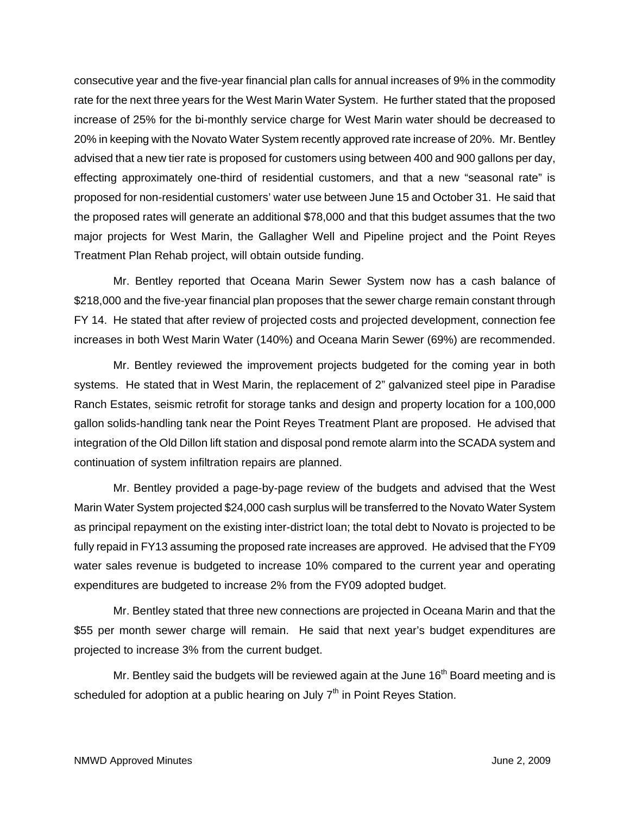consecutive year and the five-year financial plan calls for annual increases of 9% in the commodity rate for the next three years for the West Marin Water System. He further stated that the proposed increase of 25% for the bi-monthly service charge for West Marin water should be decreased to 20% in keeping with the Novato Water System recently approved rate increase of 20%. Mr. Bentley advised that a new tier rate is proposed for customers using between 400 and 900 gallons per day, effecting approximately one-third of residential customers, and that a new "seasonal rate" is proposed for non-residential customers' water use between June 15 and October 31. He said that the proposed rates will generate an additional \$78,000 and that this budget assumes that the two major projects for West Marin, the Gallagher Well and Pipeline project and the Point Reyes Treatment Plan Rehab project, will obtain outside funding.

Mr. Bentley reported that Oceana Marin Sewer System now has a cash balance of \$218,000 and the five-year financial plan proposes that the sewer charge remain constant through FY 14. He stated that after review of projected costs and projected development, connection fee increases in both West Marin Water (140%) and Oceana Marin Sewer (69%) are recommended.

Mr. Bentley reviewed the improvement projects budgeted for the coming year in both systems. He stated that in West Marin, the replacement of 2" galvanized steel pipe in Paradise Ranch Estates, seismic retrofit for storage tanks and design and property location for a 100,000 gallon solids-handling tank near the Point Reyes Treatment Plant are proposed. He advised that integration of the Old Dillon lift station and disposal pond remote alarm into the SCADA system and continuation of system infiltration repairs are planned.

Mr. Bentley provided a page-by-page review of the budgets and advised that the West Marin Water System projected \$24,000 cash surplus will be transferred to the Novato Water System as principal repayment on the existing inter-district loan; the total debt to Novato is projected to be fully repaid in FY13 assuming the proposed rate increases are approved. He advised that the FY09 water sales revenue is budgeted to increase 10% compared to the current year and operating expenditures are budgeted to increase 2% from the FY09 adopted budget.

Mr. Bentley stated that three new connections are projected in Oceana Marin and that the \$55 per month sewer charge will remain. He said that next year's budget expenditures are projected to increase 3% from the current budget.

Mr. Bentley said the budgets will be reviewed again at the June  $16<sup>th</sup>$  Board meeting and is scheduled for adoption at a public hearing on July  $7<sup>th</sup>$  in Point Reyes Station.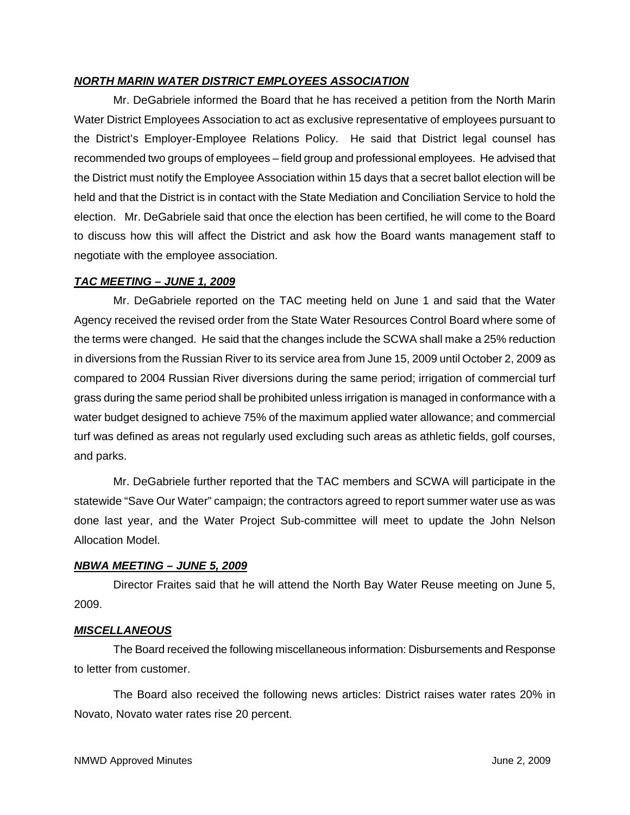# *NORTH MARIN WATER DISTRICT EMPLOYEES ASSOCIATION*

Mr. DeGabriele informed the Board that he has received a petition from the North Marin Water District Employees Association to act as exclusive representative of employees pursuant to the District's Employer-Employee Relations Policy. He said that District legal counsel has recommended two groups of employees – field group and professional employees. He advised that the District must notify the Employee Association within 15 days that a secret ballot election will be held and that the District is in contact with the State Mediation and Conciliation Service to hold the election. Mr. DeGabriele said that once the election has been certified, he will come to the Board to discuss how this will affect the District and ask how the Board wants management staff to negotiate with the employee association.

# *TAC MEETING – JUNE 1, 2009*

Mr. DeGabriele reported on the TAC meeting held on June 1 and said that the Water Agency received the revised order from the State Water Resources Control Board where some of the terms were changed. He said that the changes include the SCWA shall make a 25% reduction in diversions from the Russian River to its service area from June 15, 2009 until October 2, 2009 as compared to 2004 Russian River diversions during the same period; irrigation of commercial turf grass during the same period shall be prohibited unless irrigation is managed in conformance with a water budget designed to achieve 75% of the maximum applied water allowance; and commercial turf was defined as areas not regularly used excluding such areas as athletic fields, golf courses, and parks.

Mr. DeGabriele further reported that the TAC members and SCWA will participate in the statewide "Save Our Water" campaign; the contractors agreed to report summer water use as was done last year, and the Water Project Sub-committee will meet to update the John Nelson Allocation Model.

# *NBWA MEETING – JUNE 5, 2009*

Director Fraites said that he will attend the North Bay Water Reuse meeting on June 5, 2009.

# *MISCELLANEOUS*

The Board received the following miscellaneous information: Disbursements and Response to letter from customer.

The Board also received the following news articles: District raises water rates 20% in Novato, Novato water rates rise 20 percent.